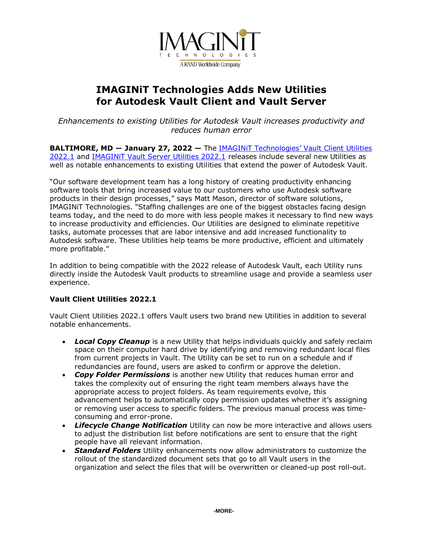

# **IMAGINiT Technologies Adds New Utilities for Autodesk Vault Client and Vault Server**

*Enhancements to existing Utilities for Autodesk Vault increases productivity and reduces human error* 

**BALTIMORE, MD ― January 27, 2022 —** The [IMAGINiT Technologies](https://www.imaginit.com/software/imaginit-utilities-other-products/utilities-for-vault-client?utm_source=dynamic&utm_medium=press-release&utm_campaign=vault-utilities)' Vault Client Utilities [2022.1](https://www.imaginit.com/software/imaginit-utilities-other-products/utilities-for-vault-client?utm_source=dynamic&utm_medium=press-release&utm_campaign=vault-utilities) and [IMAGINiT Vault Server Utilities 2022.1](https://www.imaginit.com/software/imaginit-utilities-other-products/utilities-for-vault-server?utm_source=dynamic&utm_medium=press-release&utm_campaign=vault-utilities) releases include several new Utilities as well as notable enhancements to existing Utilities that extend the power of Autodesk Vault.

"Our software development team has a long history of creating productivity enhancing software tools that bring increased value to our customers who use Autodesk software products in their design processes," says Matt Mason, director of software solutions, IMAGINiT Technologies. "Staffing challenges are one of the biggest obstacles facing design teams today, and the need to do more with less people makes it necessary to find new ways to increase productivity and efficiencies. Our Utilities are designed to eliminate repetitive tasks, automate processes that are labor intensive and add increased functionality to Autodesk software. These Utilities help teams be more productive, efficient and ultimately more profitable."

In addition to being compatible with the 2022 release of Autodesk Vault, each Utility runs directly inside the Autodesk Vault products to streamline usage and provide a seamless user experience.

## **Vault Client Utilities 2022.1**

Vault Client Utilities 2022.1 offers Vault users two brand new Utilities in addition to several notable enhancements.

- *Local Copy Cleanup* is a new Utility that helps individuals quickly and safely reclaim space on their computer hard drive by identifying and removing redundant local files from current projects in Vault. The Utility can be set to run on a schedule and if redundancies are found, users are asked to confirm or approve the deletion.
- *Copy Folder Permissions* is another new Utility that reduces human error and takes the complexity out of ensuring the right team members always have the appropriate access to project folders. As team requirements evolve, this advancement helps to automatically copy permission updates whether it's assigning or removing user access to specific folders. The previous manual process was timeconsuming and error-prone.
- *Lifecycle Change Notification* Utility can now be more interactive and allows users to adjust the distribution list before notifications are sent to ensure that the right people have all relevant information.
- *Standard Folders* Utility enhancements now allow administrators to customize the rollout of the standardized document sets that go to all Vault users in the organization and select the files that will be overwritten or cleaned-up post roll-out.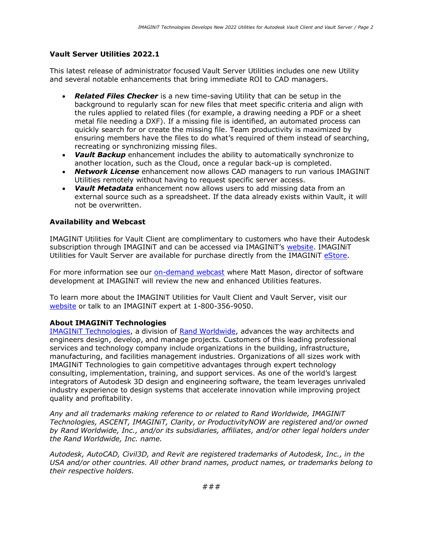## **Vault Server Utilities 2022.1**

This latest release of administrator focused Vault Server Utilities includes one new Utility and several notable enhancements that bring immediate ROI to CAD managers.

- *Related Files Checker* is a new time-saving Utility that can be setup in the background to regularly scan for new files that meet specific criteria and align with the rules applied to related files (for example, a drawing needing a PDF or a sheet metal file needing a DXF). If a missing file is identified, an automated process can quickly search for or create the missing file. Team productivity is maximized by ensuring members have the files to do what's required of them instead of searching, recreating or synchronizing missing files.
- *Vault Backup* enhancement includes the ability to automatically synchronize to another location, such as the Cloud, once a regular back-up is completed.
- *Network License* enhancement now allows CAD managers to run various IMAGINiT Utilities remotely without having to request specific server access.
- *Vault Metadata* enhancement now allows users to add missing data from an external source such as a spreadsheet. If the data already exists within Vault, it will not be overwritten.

### **Availability and Webcast**

IMAGINiT Utilities for Vault Client are complimentary to customers who have their Autodesk subscription through IMAGINiT and can be accessed via IMAGINiT's [website.](https://www.imaginit.com/my-account/subscriptions/utilities-request?utm_source=dynamic&utm_medium=press-release&utm_campaign=vault-utilities) IMAGINiT Utilities for Vault Server are available for purchase directly from the IMAGINIT [eStore.](https://www.imaginit.com/software/imaginit-utilities-other-products/utilities-for-vault-server/view/buynow?utm_source=dynamic&utm_medium=press-release&utm_campaign=vault-utilities)

For more information see our [on-demand webcast](https://resources.imaginit.com/imaginit-utilities/what-s-new-in-utilities-for-vault-2022-1?utm_source=dynamic&utm_medium=press-release&utm_campaign=vault-utilities) where Matt Mason, director of software development at IMAGINiT will review the new and enhanced Utilities features.

To learn more about the IMAGINiT Utilities for Vault Client and Vault Server, visit our [website](https://www.imaginit.com/software/imaginit-utilities-other-products/imaginit-utilities?utm_source=dynamic&utm_medium=press-release&utm_campaign=vault-utilities) or talk to an IMAGINiT expert at 1-800-356-9050.

### **About IMAGINiT Technologies**

[IMAGINiT Technologies,](https://www.imaginit.com/?utm_source=dynamic&utm_medium=press-release&utm_campaign=vault-utilities) a division of [Rand Worldwide,](https://rand.com/?utm_source=dynamic&utm_medium=press-release&utm_campaign=vault-utilities) advances the way architects and engineers design, develop, and manage projects. Customers of this leading professional services and technology company include organizations in the building, infrastructure, manufacturing, and facilities management industries. Organizations of all sizes work with IMAGINiT Technologies to gain competitive advantages through expert technology consulting, implementation, training, and support services. As one of the world's largest integrators of Autodesk 3D design and engineering software, the team leverages unrivaled industry experience to design systems that accelerate innovation while improving project quality and profitability.

*Any and all trademarks making reference to or related to Rand Worldwide, IMAGINiT Technologies, ASCENT, IMAGINiT, Clarity, or ProductivityNOW are registered and/or owned by Rand Worldwide, Inc., and/or its subsidiaries, affiliates, and/or other legal holders under the Rand Worldwide, Inc. name.* 

*Autodesk, AutoCAD, Civil3D, and Revit are registered trademarks of Autodesk, Inc., in the USA and/or other countries. All other brand names, product names, or trademarks belong to their respective holders.*